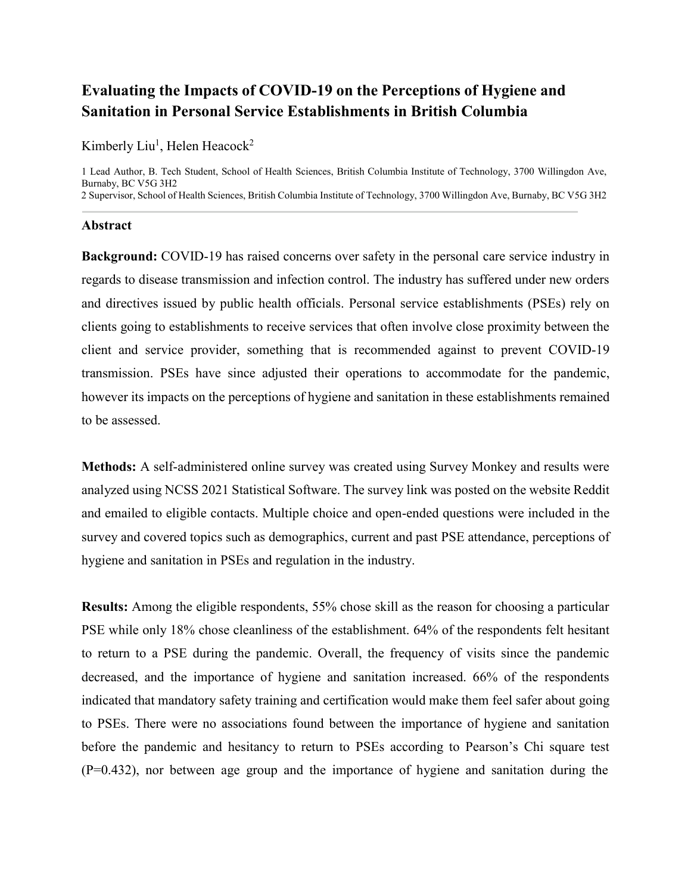# **Evaluating the Impacts of COVID-19 on the Perceptions of Hygiene and Sanitation in Personal Service Establishments in British Columbia**

Kimberly Liu<sup>1</sup>, Helen Heacock<sup>2</sup>

1 Lead Author, B. Tech Student, School of Health Sciences, British Columbia Institute of Technology, 3700 Willingdon Ave, Burnaby, BC V5G 3H2 2 Supervisor, School of Health Sciences, British Columbia Institute of Technology, 3700 Willingdon Ave, Burnaby, BC V5G 3H2

#### **Abstract**

**Background:** COVID-19 has raised concerns over safety in the personal care service industry in regards to disease transmission and infection control. The industry has suffered under new orders and directives issued by public health officials. Personal service establishments (PSEs) rely on clients going to establishments to receive services that often involve close proximity between the client and service provider, something that is recommended against to prevent COVID-19 transmission. PSEs have since adjusted their operations to accommodate for the pandemic, however its impacts on the perceptions of hygiene and sanitation in these establishments remained to be assessed.

**Methods:** A self-administered online survey was created using Survey Monkey and results were analyzed using NCSS 2021 Statistical Software. The survey link was posted on the website Reddit and emailed to eligible contacts. Multiple choice and open-ended questions were included in the survey and covered topics such as demographics, current and past PSE attendance, perceptions of hygiene and sanitation in PSEs and regulation in the industry.

**Results:** Among the eligible respondents, 55% chose skill as the reason for choosing a particular PSE while only 18% chose cleanliness of the establishment. 64% of the respondents felt hesitant to return to a PSE during the pandemic. Overall, the frequency of visits since the pandemic decreased, and the importance of hygiene and sanitation increased. 66% of the respondents indicated that mandatory safety training and certification would make them feel safer about going to PSEs. There were no associations found between the importance of hygiene and sanitation before the pandemic and hesitancy to return to PSEs according to Pearson's Chi square test (P=0.432), nor between age group and the importance of hygiene and sanitation during the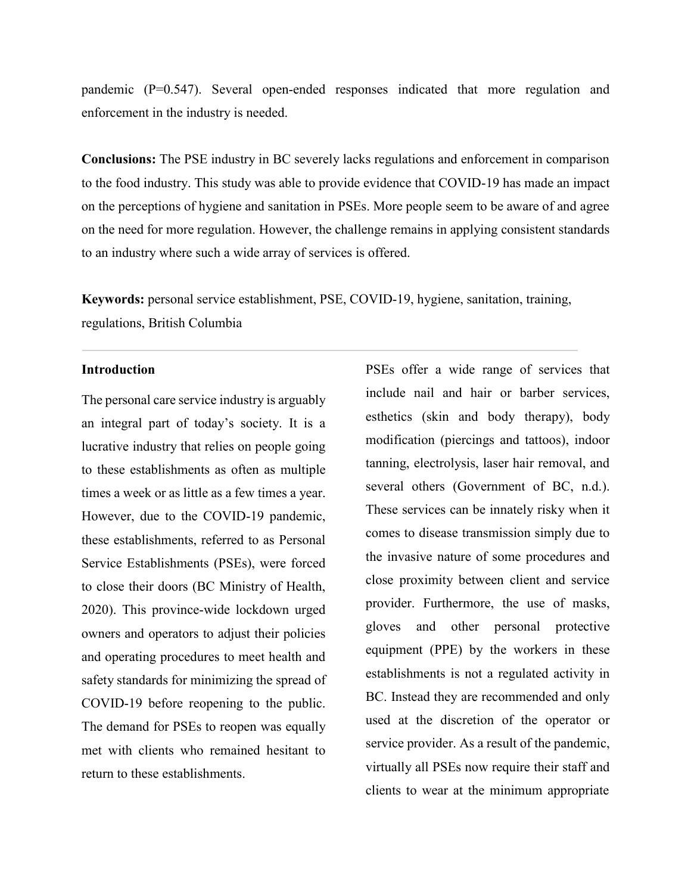pandemic (P=0.547). Several open-ended responses indicated that more regulation and enforcement in the industry is needed.

**Conclusions:** The PSE industry in BC severely lacks regulations and enforcement in comparison to the food industry. This study was able to provide evidence that COVID-19 has made an impact on the perceptions of hygiene and sanitation in PSEs. More people seem to be aware of and agree on the need for more regulation. However, the challenge remains in applying consistent standards to an industry where such a wide array of services is offered.

**Keywords:** personal service establishment, PSE, COVID-19, hygiene, sanitation, training, regulations, British Columbia

#### **Introduction**

The personal care service industry is arguably an integral part of today's society. It is a lucrative industry that relies on people going to these establishments as often as multiple times a week or as little as a few times a year. However, due to the COVID-19 pandemic, these establishments, referred to as Personal Service Establishments (PSEs), were forced to close their doors (BC Ministry of Health, 2020). This province-wide lockdown urged owners and operators to adjust their policies and operating procedures to meet health and safety standards for minimizing the spread of COVID-19 before reopening to the public. The demand for PSEs to reopen was equally met with clients who remained hesitant to return to these establishments.

PSEs offer a wide range of services that include nail and hair or barber services, esthetics (skin and body therapy), body modification (piercings and tattoos), indoor tanning, electrolysis, laser hair removal, and several others (Government of BC, n.d.). These services can be innately risky when it comes to disease transmission simply due to the invasive nature of some procedures and close proximity between client and service provider. Furthermore, the use of masks, gloves and other personal protective equipment (PPE) by the workers in these establishments is not a regulated activity in BC. Instead they are recommended and only used at the discretion of the operator or service provider. As a result of the pandemic, virtually all PSEs now require their staff and clients to wear at the minimum appropriate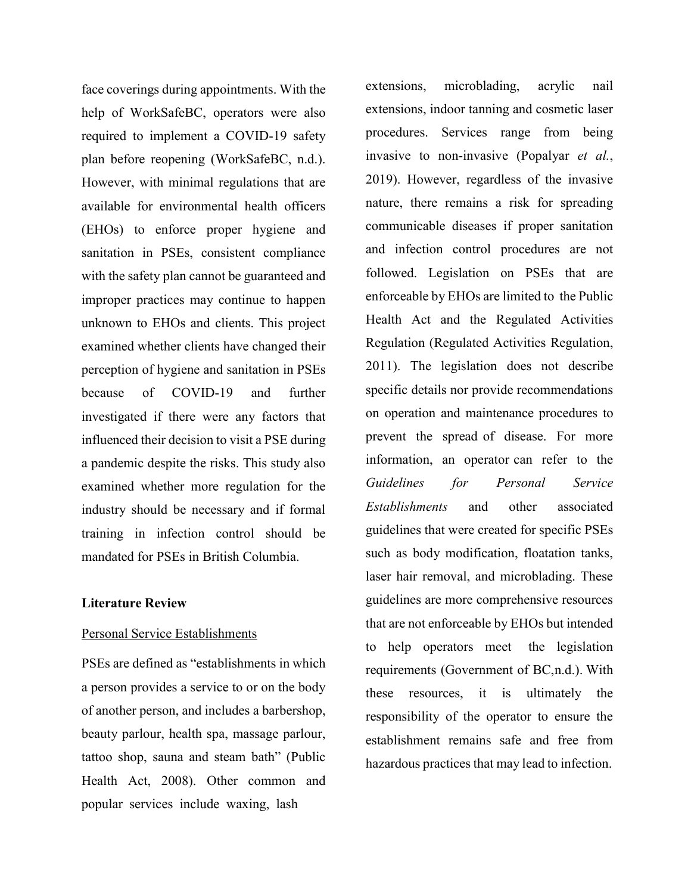face coverings during appointments. With the help of WorkSafeBC, operators were also required to implement a COVID-19 safety plan before reopening (WorkSafeBC, n.d.). However, with minimal regulations that are available for environmental health officers (EHOs) to enforce proper hygiene and sanitation in PSEs, consistent compliance with the safety plan cannot be guaranteed and improper practices may continue to happen unknown to EHOs and clients. This project examined whether clients have changed their perception of hygiene and sanitation in PSEs because of COVID-19 and further investigated if there were any factors that influenced their decision to visit a PSE during a pandemic despite the risks. This study also examined whether more regulation for the industry should be necessary and if formal training in infection control should be mandated for PSEs in British Columbia.

#### **Literature Review**

#### Personal Service Establishments

PSEs are defined as "establishments in which a person provides a service to or on the body of another person, and includes a barbershop, beauty parlour, health spa, massage parlour, tattoo shop, sauna and steam bath" (Public Health Act, 2008). Other common and popular services include waxing, lash

extensions, microblading, acrylic nail extensions, indoor tanning and cosmetic laser procedures. Services range from being invasive to non-invasive (Popalyar *et al.*, 2019). However, regardless of the invasive nature, there remains a risk for spreading communicable diseases if proper sanitation and infection control procedures are not followed. Legislation on PSEs that are enforceable by EHOs are limited to the Public Health Act and the Regulated Activities Regulation (Regulated Activities Regulation, 2011). The legislation does not describe specific details nor provide recommendations on operation and maintenance procedures to prevent the spread of disease. For more information, an operator can refer to the *Guidelines for Personal Service Establishments* and other associated guidelines that were created for specific PSEs such as body modification, floatation tanks, laser hair removal, and microblading. These guidelines are more comprehensive resources that are not enforceable by EHOs but intended to help operators meet the legislation requirements (Government of BC,n.d.). With these resources, it is ultimately the responsibility of the operator to ensure the establishment remains safe and free from hazardous practices that may lead to infection.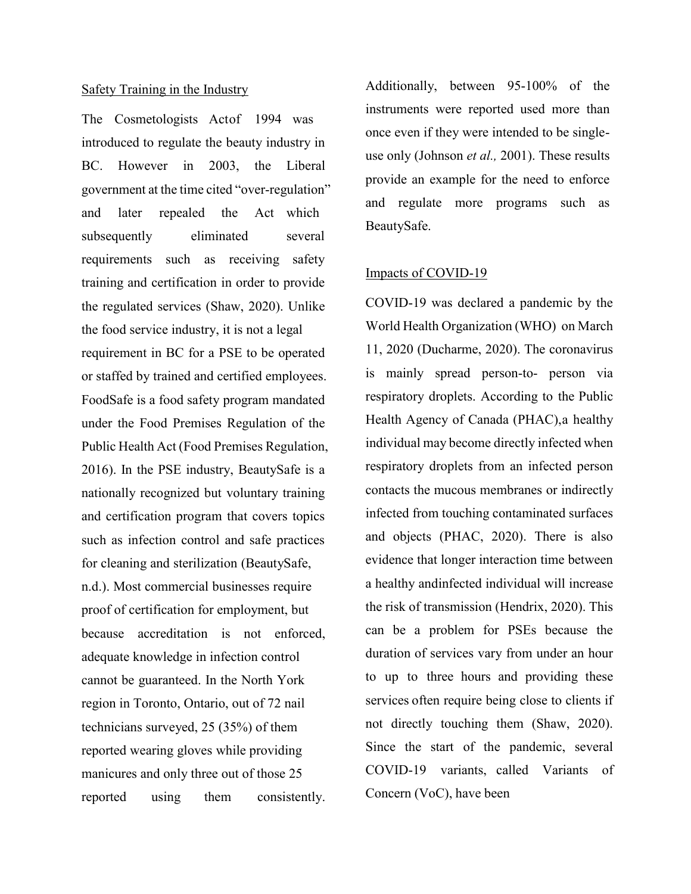#### Safety Training in the Industry

The Cosmetologists Actof 1994 was introduced to regulate the beauty industry in BC. However in 2003, the Liberal government at the time cited "over-regulation" and later repealed the Act which subsequently eliminated several requirements such as receiving safety training and certification in order to provide the regulated services (Shaw, 2020). Unlike the food service industry, it is not a legal requirement in BC for a PSE to be operated or staffed by trained and certified employees. FoodSafe is a food safety program mandated under the Food Premises Regulation of the Public Health Act (Food Premises Regulation, 2016). In the PSE industry, BeautySafe is a nationally recognized but voluntary training and certification program that covers topics such as infection control and safe practices for cleaning and sterilization (BeautySafe, n.d.). Most commercial businesses require proof of certification for employment, but because accreditation is not enforced, adequate knowledge in infection control cannot be guaranteed. In the North York region in Toronto, Ontario, out of 72 nail technicians surveyed, 25 (35%) of them reported wearing gloves while providing manicures and only three out of those 25 reported using them consistently.

Additionally, between 95-100% of the instruments were reported used more than once even if they were intended to be singleuse only (Johnson *et al.,* 2001). These results provide an example for the need to enforce and regulate more programs such as BeautySafe.

# Impacts of COVID-19

COVID-19 was declared a pandemic by the World Health Organization (WHO) on March 11, 2020 (Ducharme, 2020). The coronavirus is mainly spread person-to- person via respiratory droplets. According to the Public Health Agency of Canada (PHAC),a healthy individual may become directly infected when respiratory droplets from an infected person contacts the mucous membranes or indirectly infected from touching contaminated surfaces and objects (PHAC, 2020). There is also evidence that longer interaction time between a healthy andinfected individual will increase the risk of transmission (Hendrix, 2020). This can be a problem for PSEs because the duration of services vary from under an hour to up to three hours and providing these services often require being close to clients if not directly touching them (Shaw, 2020). Since the start of the pandemic, several COVID-19 variants, called Variants of Concern (VoC), have been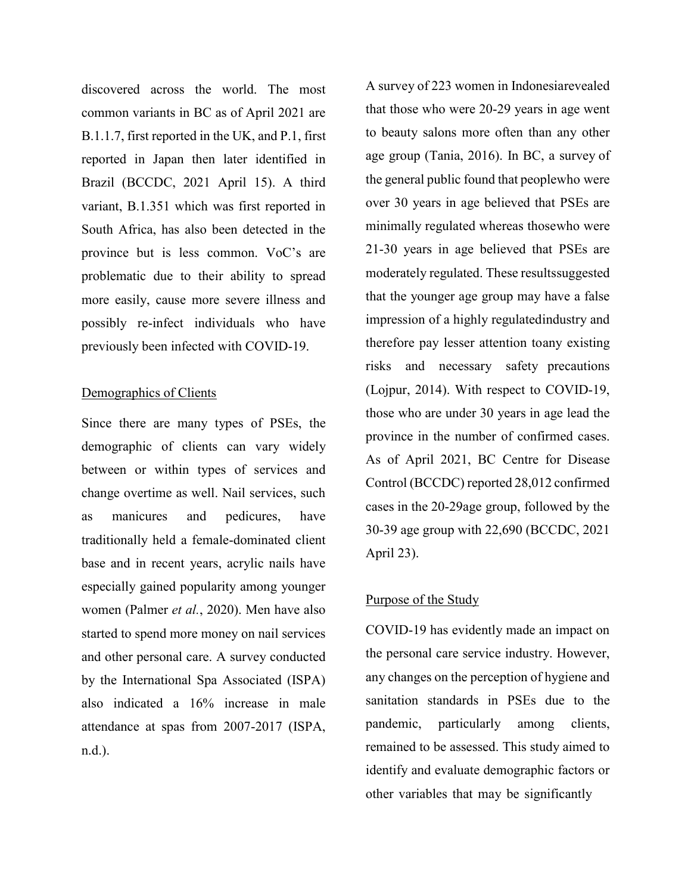discovered across the world. The most common variants in BC as of April 2021 are B.1.1.7, first reported in the UK, and P.1, first reported in Japan then later identified in Brazil (BCCDC, 2021 April 15). A third variant, B.1.351 which was first reported in South Africa, has also been detected in the province but is less common. VoC's are problematic due to their ability to spread more easily, cause more severe illness and possibly re-infect individuals who have previously been infected with COVID-19.

## Demographics of Clients

Since there are many types of PSEs, the demographic of clients can vary widely between or within types of services and change overtime as well. Nail services, such as manicures and pedicures, have traditionally held a female-dominated client base and in recent years, acrylic nails have especially gained popularity among younger women (Palmer *et al.*, 2020). Men have also started to spend more money on nail services and other personal care. A survey conducted by the International Spa Associated (ISPA) also indicated a 16% increase in male attendance at spas from 2007-2017 (ISPA, n.d.).

A survey of 223 women in Indonesiarevealed that those who were 20-29 years in age went to beauty salons more often than any other age group (Tania, 2016). In BC, a survey of the general public found that peoplewho were over 30 years in age believed that PSEs are minimally regulated whereas thosewho were 21-30 years in age believed that PSEs are moderately regulated. These resultssuggested that the younger age group may have a false impression of a highly regulatedindustry and therefore pay lesser attention toany existing risks and necessary safety precautions (Lojpur, 2014). With respect to COVID-19, those who are under 30 years in age lead the province in the number of confirmed cases. As of April 2021, BC Centre for Disease Control (BCCDC) reported 28,012 confirmed cases in the 20-29age group, followed by the 30-39 age group with 22,690 (BCCDC, 2021 April 23).

## Purpose of the Study

COVID-19 has evidently made an impact on the personal care service industry. However, any changes on the perception of hygiene and sanitation standards in PSEs due to the pandemic, particularly among clients, remained to be assessed. This study aimed to identify and evaluate demographic factors or other variables that may be significantly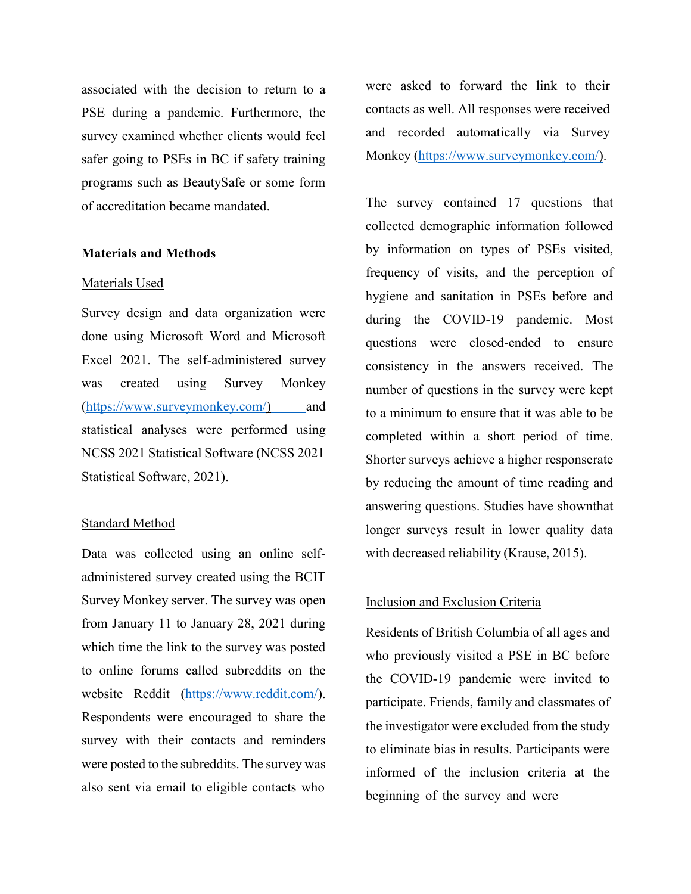associated with the decision to return to a PSE during a pandemic. Furthermore, the survey examined whether clients would feel safer going to PSEs in BC if safety training programs such as BeautySafe or some form of accreditation became mandated.

## **Materials and Methods**

#### Materials Used

Survey design and data organization were done using Microsoft Word and Microsoft Excel 2021. The self-administered survey was created using Survey Monkey (https:/[/www.surveymonkey.com/\)](http://www.surveymonkey.com/)) and statistical analyses were performed using NCSS 2021 Statistical Software (NCSS 2021 Statistical Software, 2021).

#### Standard Method

Data was collected using an online selfadministered survey created using the BCIT Survey Monkey server. The survey was open from January 11 to January 28, 2021 during which time the link to the survey was posted to online forums called subreddits on the website Reddit (https:/[/www.reddit.com/\).](http://www.reddit.com/)) Respondents were encouraged to share the survey with their contacts and reminders were posted to the subreddits. The survey was also sent via email to eligible contacts who

were asked to forward the link to their contacts as well. All responses were received and recorded automatically via Survey Monkey (https:/[/www.surveymonkey.com/\).](http://www.surveymonkey.com/))

The survey contained 17 questions that collected demographic information followed by information on types of PSEs visited, frequency of visits, and the perception of hygiene and sanitation in PSEs before and during the COVID-19 pandemic. Most questions were closed-ended to ensure consistency in the answers received. The number of questions in the survey were kept to a minimum to ensure that it was able to be completed within a short period of time. Shorter surveys achieve a higher responserate by reducing the amount of time reading and answering questions. Studies have shownthat longer surveys result in lower quality data with decreased reliability (Krause, 2015).

#### Inclusion and Exclusion Criteria

Residents of British Columbia of all ages and who previously visited a PSE in BC before the COVID-19 pandemic were invited to participate. Friends, family and classmates of the investigator were excluded from the study to eliminate bias in results. Participants were informed of the inclusion criteria at the beginning of the survey and were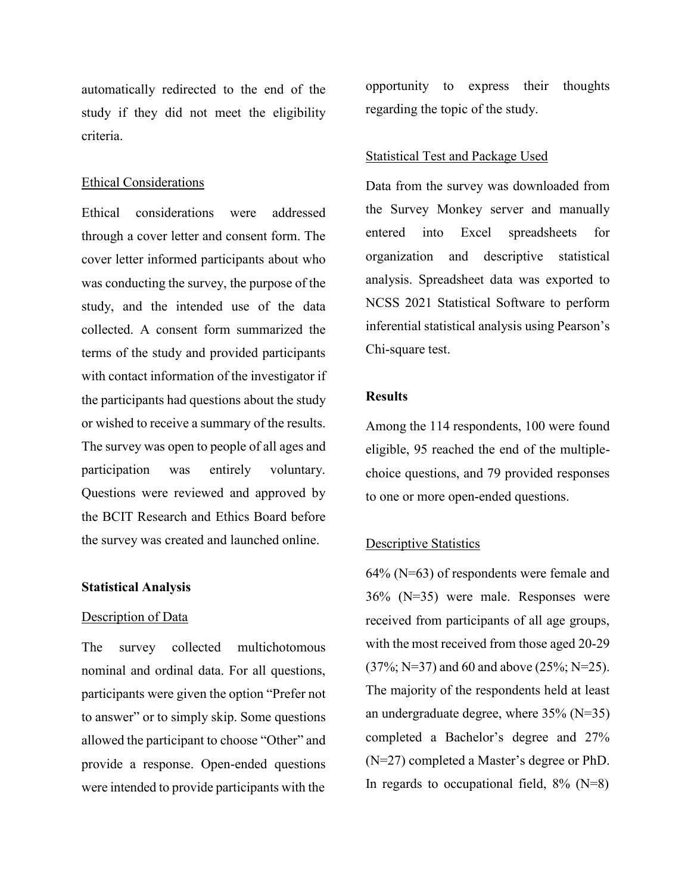automatically redirected to the end of the study if they did not meet the eligibility criteria.

#### Ethical Considerations

Ethical considerations were addressed through a cover letter and consent form. The cover letter informed participants about who was conducting the survey, the purpose of the study, and the intended use of the data collected. A consent form summarized the terms of the study and provided participants with contact information of the investigator if the participants had questions about the study or wished to receive a summary of the results. The survey was open to people of all ages and participation was entirely voluntary. Questions were reviewed and approved by the BCIT Research and Ethics Board before the survey was created and launched online.

## **Statistical Analysis**

## Description of Data

The survey collected multichotomous nominal and ordinal data. For all questions, participants were given the option "Prefer not to answer" or to simply skip. Some questions allowed the participant to choose "Other" and provide a response. Open-ended questions were intended to provide participants with the

opportunity to express their thoughts regarding the topic of the study.

#### Statistical Test and Package Used

Data from the survey was downloaded from the Survey Monkey server and manually entered into Excel spreadsheets for organization and descriptive statistical analysis. Spreadsheet data was exported to NCSS 2021 Statistical Software to perform inferential statistical analysis using Pearson's Chi-square test.

## **Results**

Among the 114 respondents, 100 were found eligible, 95 reached the end of the multiplechoice questions, and 79 provided responses to one or more open-ended questions.

#### Descriptive Statistics

64% (N=63) of respondents were female and 36% (N=35) were male. Responses were received from participants of all age groups, with the most received from those aged 20-29 (37%; N=37) and 60 and above (25%; N=25). The majority of the respondents held at least an undergraduate degree, where 35% (N=35) completed a Bachelor's degree and 27% (N=27) completed a Master's degree or PhD. In regards to occupational field,  $8\%$  (N=8)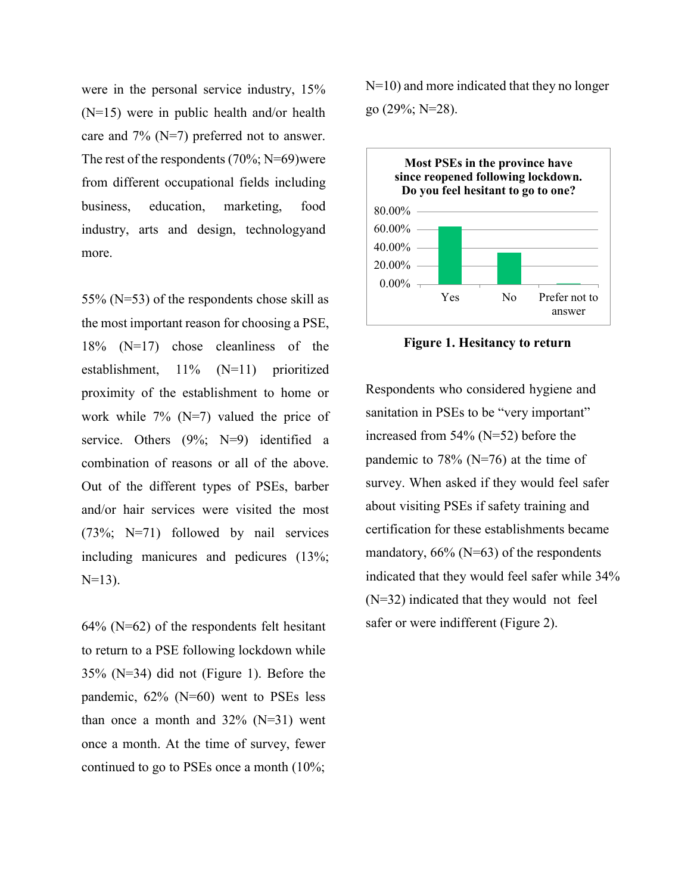were in the personal service industry, 15% (N=15) were in public health and/or health care and 7% (N=7) preferred not to answer. The rest of the respondents  $(70\%; N=69)$  were from different occupational fields including business, education, marketing, food industry, arts and design, technologyand more.

55% (N=53) of the respondents chose skill as the most important reason for choosing a PSE, 18% (N=17) chose cleanliness of the establishment, 11% (N=11) prioritized proximity of the establishment to home or work while  $7\%$  (N=7) valued the price of service. Others (9%; N=9) identified a combination of reasons or all of the above. Out of the different types of PSEs, barber and/or hair services were visited the most (73%; N=71) followed by nail services including manicures and pedicures (13%;  $N=13$ ).

 $64\%$  (N= $62$ ) of the respondents felt hesitant to return to a PSE following lockdown while 35% (N=34) did not (Figure 1). Before the pandemic, 62% (N=60) went to PSEs less than once a month and  $32\%$  (N=31) went once a month. At the time of survey, fewer continued to go to PSEs once a month (10%;

N=10) and more indicated that they no longer go (29%; N=28).



**Figure 1. Hesitancy to return**

Respondents who considered hygiene and sanitation in PSEs to be "very important" increased from 54% (N=52) before the pandemic to 78% ( $N=76$ ) at the time of survey. When asked if they would feel safer about visiting PSEs if safety training and certification for these establishments became mandatory,  $66\%$  (N=63) of the respondents indicated that they would feel safer while 34% (N=32) indicated that they would not feel safer or were indifferent (Figure 2).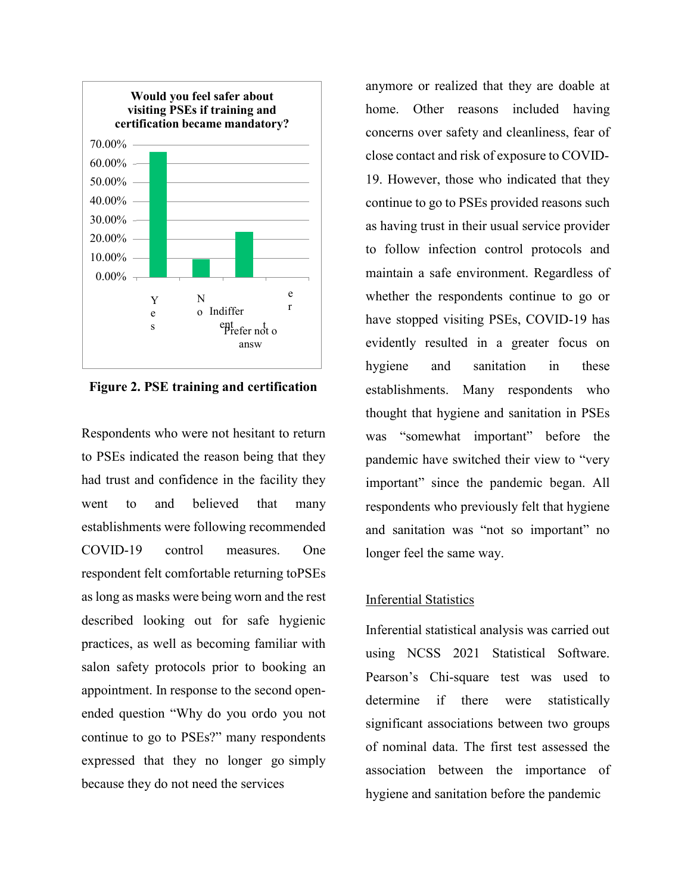

**Figure 2. PSE training and certification**

Respondents who were not hesitant to return to PSEs indicated the reason being that they had trust and confidence in the facility they went to and believed that many establishments were following recommended COVID-19 control measures. One respondent felt comfortable returning toPSEs as long as masks were being worn and the rest described looking out for safe hygienic practices, as well as becoming familiar with salon safety protocols prior to booking an appointment. In response to the second openended question "Why do you ordo you not continue to go to PSEs?" many respondents expressed that they no longer go simply because they do not need the services

anymore or realized that they are doable at home. Other reasons included having concerns over safety and cleanliness, fear of close contact and risk of exposure to COVID-19. However, those who indicated that they continue to go to PSEs provided reasons such as having trust in their usual service provider to follow infection control protocols and maintain a safe environment. Regardless of whether the respondents continue to go or have stopped visiting PSEs, COVID-19 has evidently resulted in a greater focus on hygiene and sanitation in these establishments. Many respondents who thought that hygiene and sanitation in PSEs was "somewhat important" before the pandemic have switched their view to "very important" since the pandemic began. All respondents who previously felt that hygiene and sanitation was "not so important" no longer feel the same way.

## Inferential Statistics

Inferential statistical analysis was carried out using NCSS 2021 Statistical Software. Pearson's Chi-square test was used to determine if there were statistically significant associations between two groups of nominal data. The first test assessed the association between the importance of hygiene and sanitation before the pandemic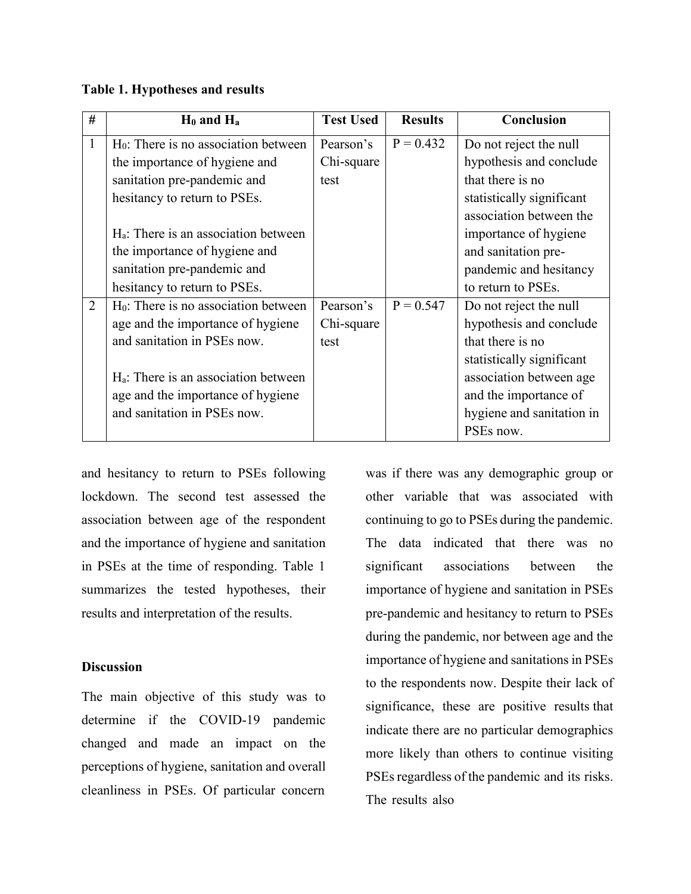## **Table 1. Hypotheses and results**

| #              | $H_0$ and $H_a$                                  | <b>Test Used</b> | <b>Results</b> | <b>Conclusion</b>         |
|----------------|--------------------------------------------------|------------------|----------------|---------------------------|
| $\mathbf{1}$   | $H0$ : There is no association between           | Pearson's        | $P = 0.432$    | Do not reject the null    |
|                | the importance of hygiene and                    | Chi-square       |                | hypothesis and conclude   |
|                | sanitation pre-pandemic and                      | test             |                | that there is no          |
|                | hesitancy to return to PSEs.                     |                  |                | statistically significant |
|                |                                                  |                  |                | association between the   |
|                | $H_a$ : There is an association between          |                  |                | importance of hygiene     |
|                | the importance of hygiene and                    |                  |                | and sanitation pre-       |
|                | sanitation pre-pandemic and                      |                  |                | pandemic and hesitancy    |
|                | hesitancy to return to PSEs.                     |                  |                | to return to PSEs.        |
| $\overline{2}$ | H <sub>0</sub> : There is no association between | Pearson's        | $P = 0.547$    | Do not reject the null    |
|                | age and the importance of hygiene                | Chi-square       |                | hypothesis and conclude   |
|                | and sanitation in PSEs now.                      | test             |                | that there is no          |
|                |                                                  |                  |                | statistically significant |
|                | H <sub>a</sub> : There is an association between |                  |                | association between age   |
|                | age and the importance of hygiene                |                  |                | and the importance of     |
|                | and sanitation in PSEs now.                      |                  |                | hygiene and sanitation in |
|                |                                                  |                  |                | PSEs now.                 |

and hesitancy to return to PSEs following lockdown. The second test assessed the association between age of the respondent and the importance of hygiene and sanitation in PSEs at the time of responding. Table 1 summarizes the tested hypotheses, their results and interpretation of the results.

## **Discussion**

The main objective of this study was to determine if the COVID-19 pandemic changed and made an impact on the perceptions of hygiene, sanitation and overall cleanliness in PSEs. Of particular concern

was if there was any demographic group or other variable that was associated with continuing to go to PSEs during the pandemic. The data indicated that there was no significant associations between the importance of hygiene and sanitation in PSEs pre-pandemic and hesitancy to return to PSEs during the pandemic, nor between age and the importance of hygiene and sanitations in PSEs to the respondents now. Despite their lack of significance, these are positive results that indicate there are no particular demographics more likely than others to continue visiting PSEs regardless of the pandemic and its risks. The results also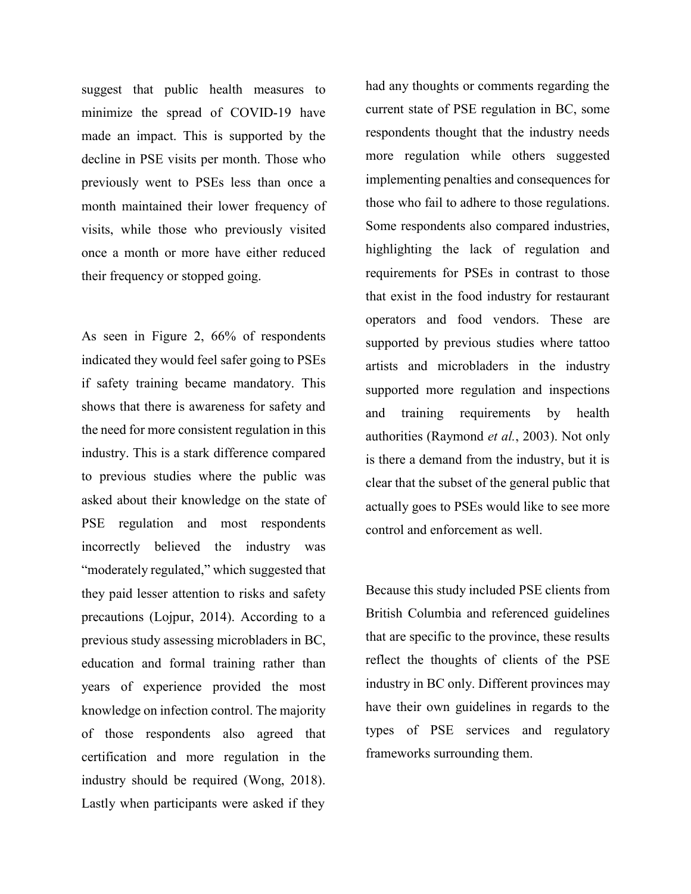suggest that public health measures to minimize the spread of COVID-19 have made an impact. This is supported by the decline in PSE visits per month. Those who previously went to PSEs less than once a month maintained their lower frequency of visits, while those who previously visited once a month or more have either reduced their frequency or stopped going.

As seen in Figure 2, 66% of respondents indicated they would feel safer going to PSEs if safety training became mandatory. This shows that there is awareness for safety and the need for more consistent regulation in this industry. This is a stark difference compared to previous studies where the public was asked about their knowledge on the state of PSE regulation and most respondents incorrectly believed the industry was "moderately regulated," which suggested that they paid lesser attention to risks and safety precautions (Lojpur, 2014). According to a previous study assessing microbladers in BC, education and formal training rather than years of experience provided the most knowledge on infection control. The majority of those respondents also agreed that certification and more regulation in the industry should be required (Wong, 2018). Lastly when participants were asked if they

had any thoughts or comments regarding the current state of PSE regulation in BC, some respondents thought that the industry needs more regulation while others suggested implementing penalties and consequences for those who fail to adhere to those regulations. Some respondents also compared industries, highlighting the lack of regulation and requirements for PSEs in contrast to those that exist in the food industry for restaurant operators and food vendors. These are supported by previous studies where tattoo artists and microbladers in the industry supported more regulation and inspections and training requirements by health authorities (Raymond *et al.*, 2003). Not only is there a demand from the industry, but it is clear that the subset of the general public that actually goes to PSEs would like to see more control and enforcement as well.

Because this study included PSE clients from British Columbia and referenced guidelines that are specific to the province, these results reflect the thoughts of clients of the PSE industry in BC only. Different provinces may have their own guidelines in regards to the types of PSE services and regulatory frameworks surrounding them.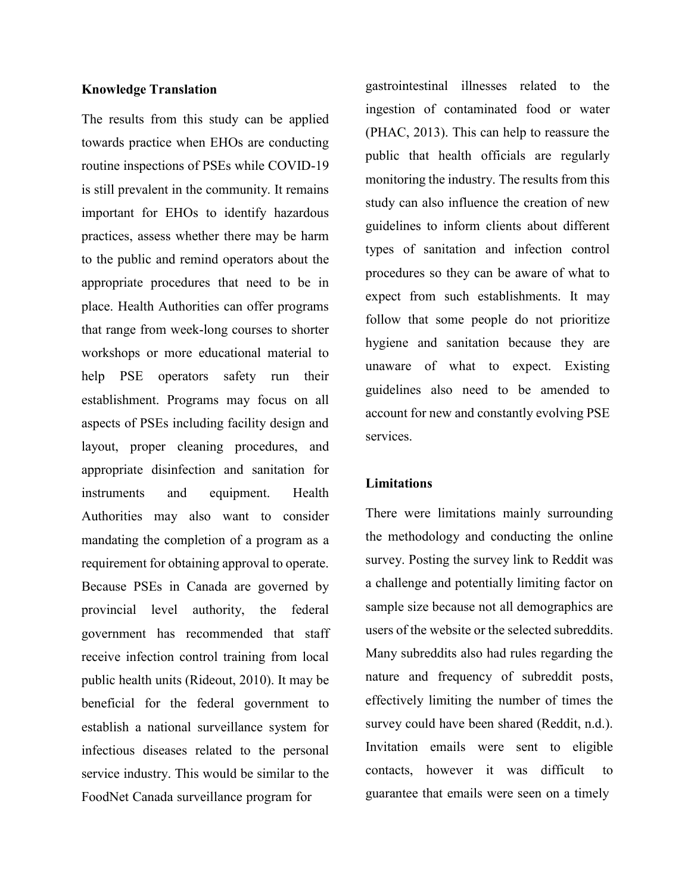## **Knowledge Translation**

The results from this study can be applied towards practice when EHOs are conducting routine inspections of PSEs while COVID-19 is still prevalent in the community. It remains important for EHOs to identify hazardous practices, assess whether there may be harm to the public and remind operators about the appropriate procedures that need to be in place. Health Authorities can offer programs that range from week-long courses to shorter workshops or more educational material to help PSE operators safety run their establishment. Programs may focus on all aspects of PSEs including facility design and layout, proper cleaning procedures, and appropriate disinfection and sanitation for instruments and equipment. Health Authorities may also want to consider mandating the completion of a program as a requirement for obtaining approval to operate. Because PSEs in Canada are governed by provincial level authority, the federal government has recommended that staff receive infection control training from local public health units (Rideout, 2010). It may be beneficial for the federal government to establish a national surveillance system for infectious diseases related to the personal service industry. This would be similar to the FoodNet Canada surveillance program for

gastrointestinal illnesses related to the ingestion of contaminated food or water (PHAC, 2013). This can help to reassure the public that health officials are regularly monitoring the industry. The results from this study can also influence the creation of new guidelines to inform clients about different types of sanitation and infection control procedures so they can be aware of what to expect from such establishments. It may follow that some people do not prioritize hygiene and sanitation because they are unaware of what to expect. Existing guidelines also need to be amended to account for new and constantly evolving PSE services.

## **Limitations**

There were limitations mainly surrounding the methodology and conducting the online survey. Posting the survey link to Reddit was a challenge and potentially limiting factor on sample size because not all demographics are users of the website or the selected subreddits. Many subreddits also had rules regarding the nature and frequency of subreddit posts, effectively limiting the number of times the survey could have been shared (Reddit, n.d.). Invitation emails were sent to eligible contacts, however it was difficult to guarantee that emails were seen on a timely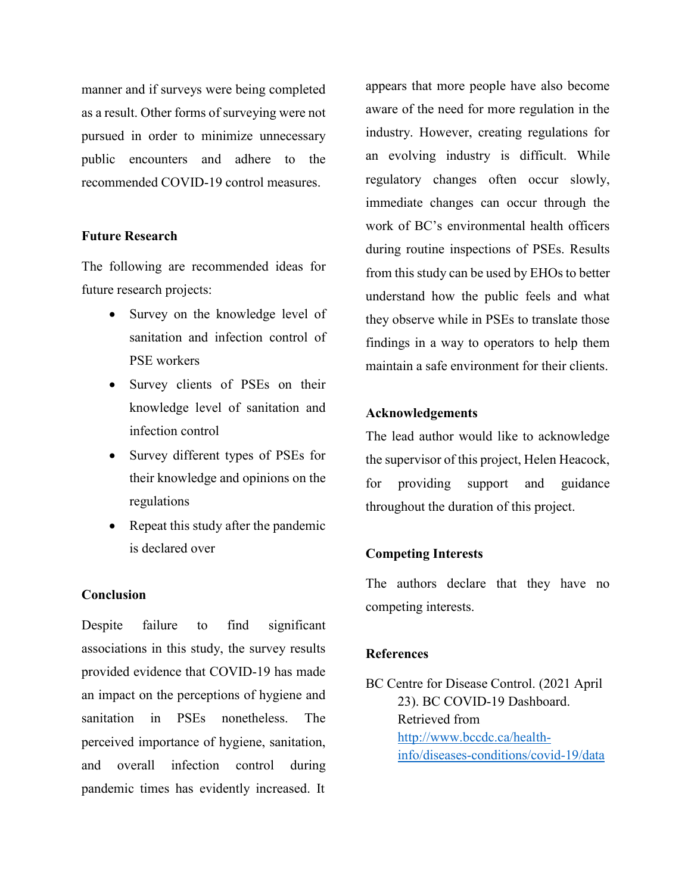manner and if surveys were being completed as a result. Other forms of surveying were not pursued in order to minimize unnecessary public encounters and adhere to the recommended COVID-19 control measures.

## **Future Research**

The following are recommended ideas for future research projects:

- Survey on the knowledge level of sanitation and infection control of PSE workers
- Survey clients of PSEs on their knowledge level of sanitation and infection control
- Survey different types of PSEs for their knowledge and opinions on the regulations
- Repeat this study after the pandemic is declared over

## **Conclusion**

Despite failure to find significant associations in this study, the survey results provided evidence that COVID-19 has made an impact on the perceptions of hygiene and sanitation in PSEs nonetheless. The perceived importance of hygiene, sanitation, and overall infection control during pandemic times has evidently increased. It

appears that more people have also become aware of the need for more regulation in the industry. However, creating regulations for an evolving industry is difficult. While regulatory changes often occur slowly, immediate changes can occur through the work of BC's environmental health officers during routine inspections of PSEs. Results from this study can be used by EHOs to better understand how the public feels and what they observe while in PSEs to translate those findings in a way to operators to help them maintain a safe environment for their clients.

## **Acknowledgements**

The lead author would like to acknowledge the supervisor of this project, Helen Heacock, for providing support and guidance throughout the duration of this project.

## **Competing Interests**

The authors declare that they have no competing interests.

#### **References**

BC Centre for Disease Control. (2021 April 23). BC COVID-19 Dashboard. Retrieved from [http://www.bccdc.ca/health](http://www.bccdc.ca/health-)info/diseases-conditions/covid-19/data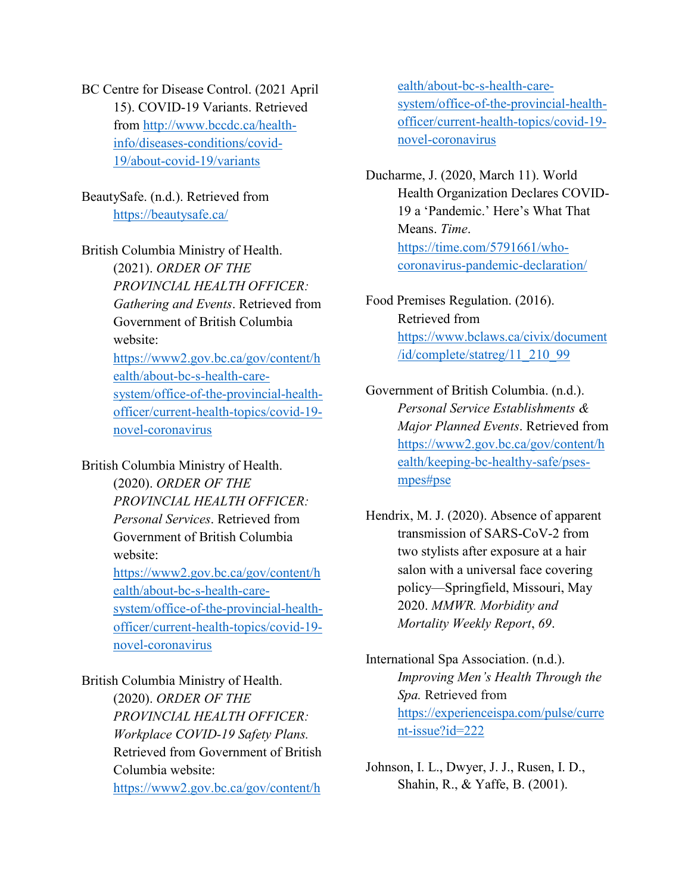BC Centre for Disease Control. (2021 April 15). COVID-19 Variants. Retrieved from [http://www.bccdc.ca/health](http://www.bccdc.ca/health-)info/diseases-conditions/covid-19/about-covid-19/variants

BeautySafe. (n.d.). Retrieved from https://beautysafe.ca/

British Columbia Ministry of Health. (2021). *ORDER OF THE PROVINCIAL HEALTH OFFICER: Gathering and Events*. Retrieved from Government of British Columbia website: https://www2.gov.bc.ca/gov/content/h ealth/about-bc-s-health-caresystem/office-of-the-provincial-healthofficer/current-health-topics/covid-19 novel-coronavirus

British Columbia Ministry of Health. (2020). *ORDER OF THE PROVINCIAL HEALTH OFFICER: Personal Services*. Retrieved from Government of British Columbia website: https://www2.gov.bc.ca/gov/content/h ealth/about-bc-s-health-caresystem/office-of-the-provincial-healthofficer/current-health-topics/covid-19 novel-coronavirus

British Columbia Ministry of Health. (2020). *ORDER OF THE PROVINCIAL HEALTH OFFICER: Workplace COVID-19 Safety Plans.* Retrieved from Government of British Columbia website: https://www2.gov.bc.ca/gov/content/h ealth/about-bc-s-health-caresystem/office-of-the-provincial-healthofficer/current-health-topics/covid-19 novel-coronavirus

Ducharme, J. (2020, March 11). World Health Organization Declares COVID-19 a 'Pandemic.' Here's What That Means. *Time*. https://time.com/5791661/whocoronavirus-pandemic-declaration/

Food Premises Regulation. (2016). Retrieved from https:/[/www.bclaws.ca/civix/document](http://www.bclaws.ca/civix/document) /id/complete/statreg/11\_210\_99

Government of British Columbia. (n.d.). *Personal Service Establishments & Major Planned Events*. Retrieved from https://www2.gov.bc.ca/gov/content/h ealth/keeping-bc-healthy-safe/psesmpes#pse

Hendrix, M. J. (2020). Absence of apparent transmission of SARS-CoV-2 from two stylists after exposure at a hair salon with a universal face covering policy—Springfield, Missouri, May 2020. *MMWR. Morbidity and Mortality Weekly Report*, *69*.

International Spa Association. (n.d.). *Improving Men's Health Through the Spa.* Retrieved from https://experienceispa.com/pulse/curre nt-issue?id=222

Johnson, I. L., Dwyer, J. J., Rusen, I. D., Shahin, R., & Yaffe, B. (2001).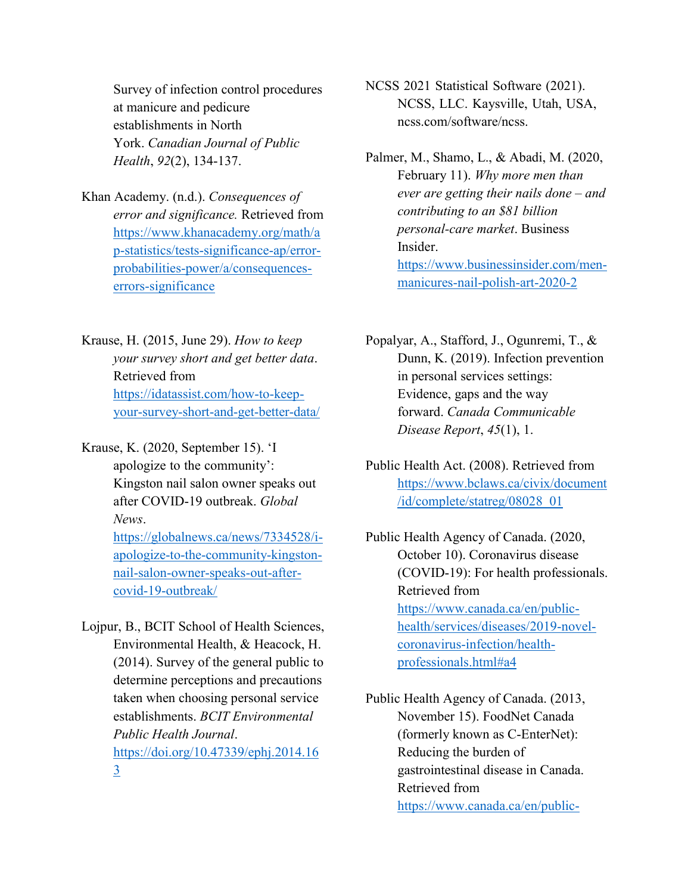Survey of infection control procedures at manicure and pedicure establishments in North York. *Canadian Journal of Public Health*, *92*(2), 134-137.

Khan Academy. (n.d.). *Consequences of error and significance.* Retrieved from https:/[/www.khanacademy.org/math/a](http://www.khanacademy.org/math/a) p-statistics/tests-significance-ap/errorprobabilities-power/a/consequenceserrors-significance

Krause, H. (2015, June 29). *How to keep your survey short and get better data*. Retrieved from https://idatassist.com/how-to-keepyour-survey-short-and-get-better-data/

Krause, K. (2020, September 15). 'I apologize to the community': Kingston nail salon owner speaks out after COVID-19 outbreak. *Global News*. https://globalnews.ca/news/7334528/iapologize-to-the-community-kingston-

> nail-salon-owner-speaks-out-aftercovid-19-outbreak/

Lojpur, B., BCIT School of Health Sciences, Environmental Health, & Heacock, H. (2014). Survey of the general public to determine perceptions and precautions taken when choosing personal service establishments. *BCIT Environmental Public Health Journal*. https://doi.org/10.47339/ephj.2014.16 3

NCSS 2021 Statistical Software (2021). NCSS, LLC. Kaysville, Utah, USA, ncss.com/software/ncss.

Palmer, M., Shamo, L., & Abadi, M. (2020, February 11). *Why more men than ever are getting their nails done – and contributing to an \$81 billion personal-care market*. Business Insider. https:/[/www.businessinsider.com/men](http://www.businessinsider.com/men-)manicures-nail-polish-art-2020-2

Popalyar, A., Stafford, J., Ogunremi, T., & Dunn, K. (2019). Infection prevention in personal services settings: Evidence, gaps and the way forward. *Canada Communicable Disease Report*, *45*(1), 1.

Public Health Act. (2008). Retrieved from https:/[/www.bclaws.ca/civix/document](http://www.bclaws.ca/civix/document) /id/complete/statreg/08028\_01

Public Health Agency of Canada. (2020, October 10). Coronavirus disease (COVID-19): For health professionals. Retrieved from https:/[/www.canada.ca/en/public](http://www.canada.ca/en/public-)health/services/diseases/2019-novelcoronavirus-infection/healthprofessionals.html#a4

Public Health Agency of Canada. (2013, November 15). FoodNet Canada (formerly known as C-EnterNet): Reducing the burden of gastrointestinal disease in Canada. Retrieved from https:/[/www.canada.ca/en/public-](http://www.canada.ca/en/public-)